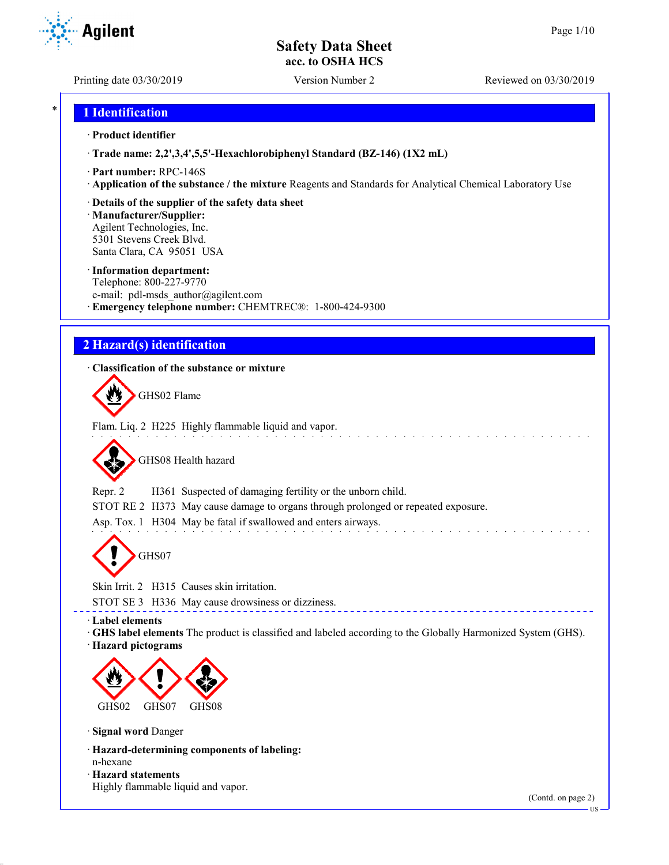Printing date 03/30/2019 Version Number 2 Reviewed on 03/30/2019

**Agilent** 

## \* **1 Identification**

#### · **Product identifier**

· **Trade name: 2,2',3,4',5,5'-Hexachlorobiphenyl Standard (BZ-146) (1X2 mL)**

- · **Part number:** RPC-146S
- · **Application of the substance / the mixture** Reagents and Standards for Analytical Chemical Laboratory Use

#### · **Details of the supplier of the safety data sheet**

· **Manufacturer/Supplier:** Agilent Technologies, Inc. 5301 Stevens Creek Blvd. Santa Clara, CA 95051 USA

#### · **Information department:**

Telephone: 800-227-9770 e-mail: pdl-msds author@agilent.com · **Emergency telephone number:** CHEMTREC®: 1-800-424-9300

## **2 Hazard(s) identification**

#### · **Classification of the substance or mixture**

GHS02 Flame

Flam. Liq. 2 H225 Highly flammable liquid and vapor.

GHS08 Health hazard

Repr. 2 H361 Suspected of damaging fertility or the unborn child.

STOT RE 2 H373 May cause damage to organs through prolonged or repeated exposure.

Asp. Tox. 1 H304 May be fatal if swallowed and enters airways.

GHS07

Skin Irrit. 2 H315 Causes skin irritation.

STOT SE 3 H336 May cause drowsiness or dizziness.

· **Label elements**

· **GHS label elements** The product is classified and labeled according to the Globally Harmonized System (GHS).

· **Hazard pictograms**



· **Signal word** Danger

- · **Hazard-determining components of labeling:** n-hexane
- · **Hazard statements**
- Highly flammable liquid and vapor.

(Contd. on page 2)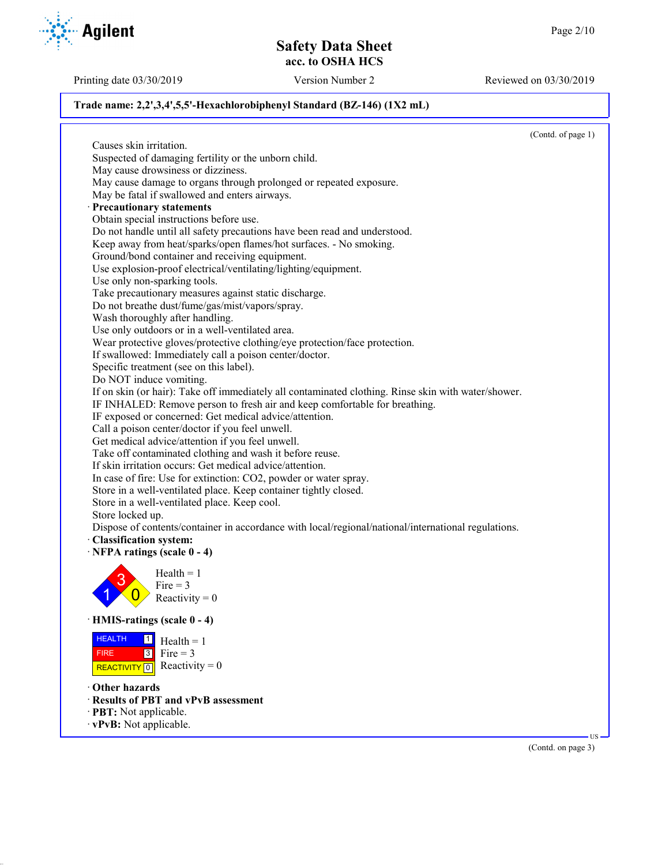Printing date 03/30/2019 Version Number 2 Reviewed on 03/30/2019

(Contd. on page 3)

#### **Trade name: 2,2',3,4',5,5'-Hexachlorobiphenyl Standard (BZ-146) (1X2 mL)**

(Contd. of page 1) Causes skin irritation. Suspected of damaging fertility or the unborn child. May cause drowsiness or dizziness. May cause damage to organs through prolonged or repeated exposure. May be fatal if swallowed and enters airways. · **Precautionary statements** Obtain special instructions before use. Do not handle until all safety precautions have been read and understood. Keep away from heat/sparks/open flames/hot surfaces. - No smoking. Ground/bond container and receiving equipment. Use explosion-proof electrical/ventilating/lighting/equipment. Use only non-sparking tools. Take precautionary measures against static discharge. Do not breathe dust/fume/gas/mist/vapors/spray. Wash thoroughly after handling. Use only outdoors or in a well-ventilated area. Wear protective gloves/protective clothing/eye protection/face protection. If swallowed: Immediately call a poison center/doctor. Specific treatment (see on this label). Do NOT induce vomiting. If on skin (or hair): Take off immediately all contaminated clothing. Rinse skin with water/shower. IF INHALED: Remove person to fresh air and keep comfortable for breathing. IF exposed or concerned: Get medical advice/attention. Call a poison center/doctor if you feel unwell. Get medical advice/attention if you feel unwell. Take off contaminated clothing and wash it before reuse. If skin irritation occurs: Get medical advice/attention. In case of fire: Use for extinction: CO2, powder or water spray. Store in a well-ventilated place. Keep container tightly closed. Store in a well-ventilated place. Keep cool. Store locked up. Dispose of contents/container in accordance with local/regional/national/international regulations. · **Classification system:** · **NFPA ratings (scale 0 - 4)** 1 3  $\overline{0}$  $Health = 1$ Fire  $= 3$ Reactivity  $= 0$ · **HMIS-ratings (scale 0 - 4)** HEALTH FIRE REACTIVITY  $\boxed{0}$  Reactivity = 0  $\frac{1}{\Box}$  Health = 1  $3$  Fire = 3 · **Other hazards** · **Results of PBT and vPvB assessment** · **PBT:** Not applicable. · **vPvB:** Not applicable. US

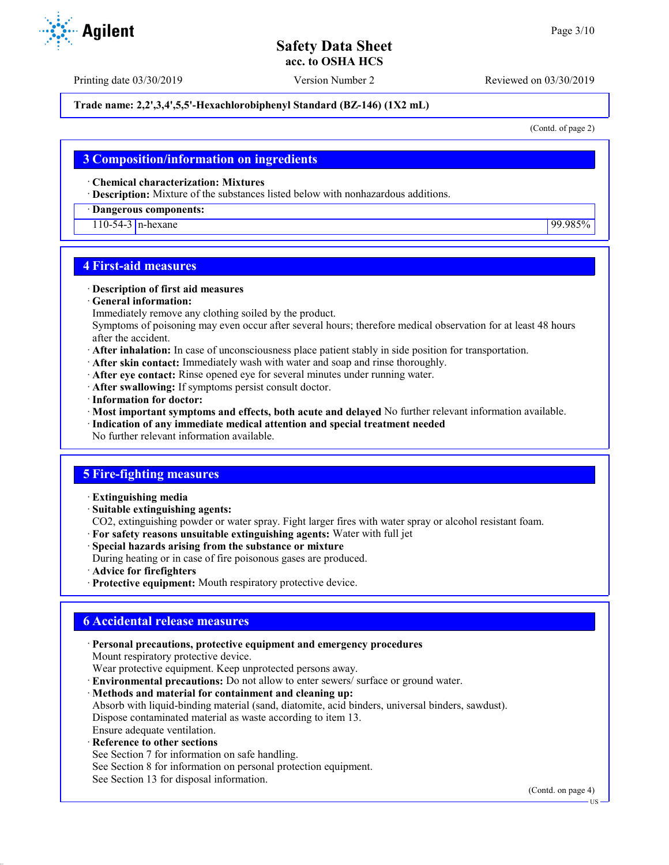Printing date 03/30/2019 Version Number 2 Reviewed on 03/30/2019

#### **Trade name: 2,2',3,4',5,5'-Hexachlorobiphenyl Standard (BZ-146) (1X2 mL)**

(Contd. of page 2)

### **3 Composition/information on ingredients**

· **Chemical characterization: Mixtures**

· **Description:** Mixture of the substances listed below with nonhazardous additions.

· **Dangerous components:**

110-54-3 n-hexane 99.985%

## **4 First-aid measures**

#### · **Description of first aid measures**

· **General information:**

Immediately remove any clothing soiled by the product.

Symptoms of poisoning may even occur after several hours; therefore medical observation for at least 48 hours after the accident.

- · **After inhalation:** In case of unconsciousness place patient stably in side position for transportation.
- · **After skin contact:** Immediately wash with water and soap and rinse thoroughly.
- · **After eye contact:** Rinse opened eye for several minutes under running water.
- · **After swallowing:** If symptoms persist consult doctor.
- · **Information for doctor:**
- · **Most important symptoms and effects, both acute and delayed** No further relevant information available.
- · **Indication of any immediate medical attention and special treatment needed**
- No further relevant information available.

## **5 Fire-fighting measures**

- · **Extinguishing media**
- · **Suitable extinguishing agents:**
- CO2, extinguishing powder or water spray. Fight larger fires with water spray or alcohol resistant foam.
- · **For safety reasons unsuitable extinguishing agents:** Water with full jet
- · **Special hazards arising from the substance or mixture**
- During heating or in case of fire poisonous gases are produced.
- · **Advice for firefighters**
- · **Protective equipment:** Mouth respiratory protective device.

## **6 Accidental release measures**

- · **Personal precautions, protective equipment and emergency procedures** Mount respiratory protective device. Wear protective equipment. Keep unprotected persons away. · **Environmental precautions:** Do not allow to enter sewers/ surface or ground water. · **Methods and material for containment and cleaning up:** Absorb with liquid-binding material (sand, diatomite, acid binders, universal binders, sawdust). Dispose contaminated material as waste according to item 13. Ensure adequate ventilation. **Reference to other sections** See Section 7 for information on safe handling.
- See Section 8 for information on personal protection equipment.
- See Section 13 for disposal information.

(Contd. on page 4)

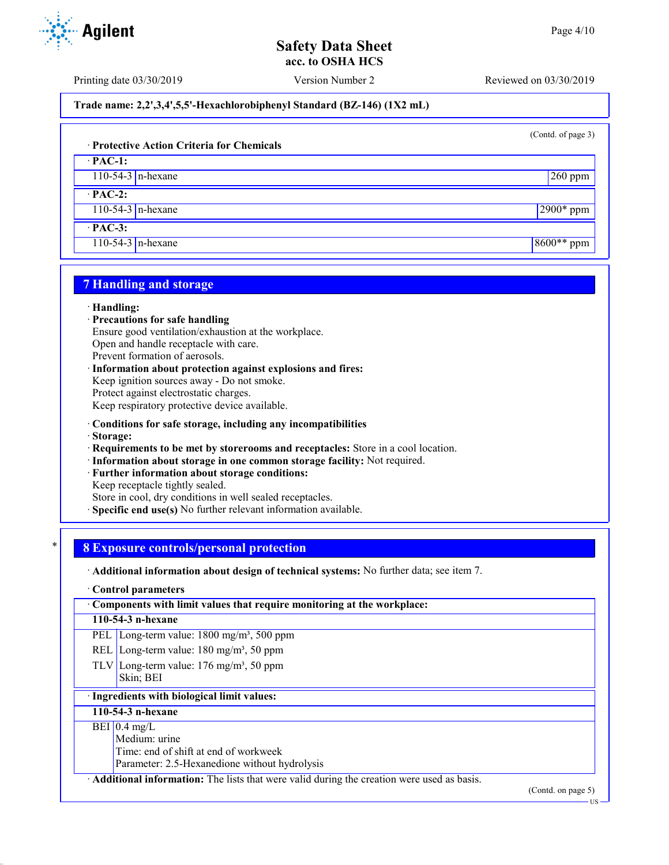Printing date 03/30/2019 Version Number 2 Reviewed on 03/30/2019

**Trade name: 2,2',3,4',5,5'-Hexachlorobiphenyl Standard (BZ-146) (1X2 mL)**

(Contd. of page 3)

#### · **Protective Action Criteria for Chemicals**

· **PAC-1:** 110-54-3 n-hexane 260 ppm

· **PAC-2:**

110-54-3 n-hexane 2900\* ppm

· **PAC-3:**

110-54-3 n-hexane 8600<sup>\*\*</sup> ppm

## **7 Handling and storage**

#### · **Handling:**

- · **Precautions for safe handling**
- Ensure good ventilation/exhaustion at the workplace.

Open and handle receptacle with care.

Prevent formation of aerosols.

· **Information about protection against explosions and fires:** Keep ignition sources away - Do not smoke. Protect against electrostatic charges. Keep respiratory protective device available.

- · **Conditions for safe storage, including any incompatibilities**
- · **Storage:**
- · **Requirements to be met by storerooms and receptacles:** Store in a cool location.
- · **Information about storage in one common storage facility:** Not required.
- Further information about storage conditions:
- Keep receptacle tightly sealed.

Store in cool, dry conditions in well sealed receptacles.

**Specific end use(s)** No further relevant information available.

## \* **8 Exposure controls/personal protection**

· **Additional information about design of technical systems:** No further data; see item 7.

#### · **Control parameters**

· **Components with limit values that require monitoring at the workplace:**

#### **110-54-3 n-hexane**

- PEL Long-term value: 1800 mg/m<sup>3</sup>, 500 ppm
- REL Long-term value:  $180 \text{ mg/m}^3$ , 50 ppm
- TLV Long-term value:  $176 \text{ mg/m}^3$ , 50 ppm Skin; BEI

## · **Ingredients with biological limit values:**

#### **110-54-3 n-hexane**

#### $BEI$  0.4 mg/L

Medium: urine

Time: end of shift at end of workweek

Parameter: 2.5-Hexanedione without hydrolysis

· **Additional information:** The lists that were valid during the creation were used as basis.

(Contd. on page 5)



US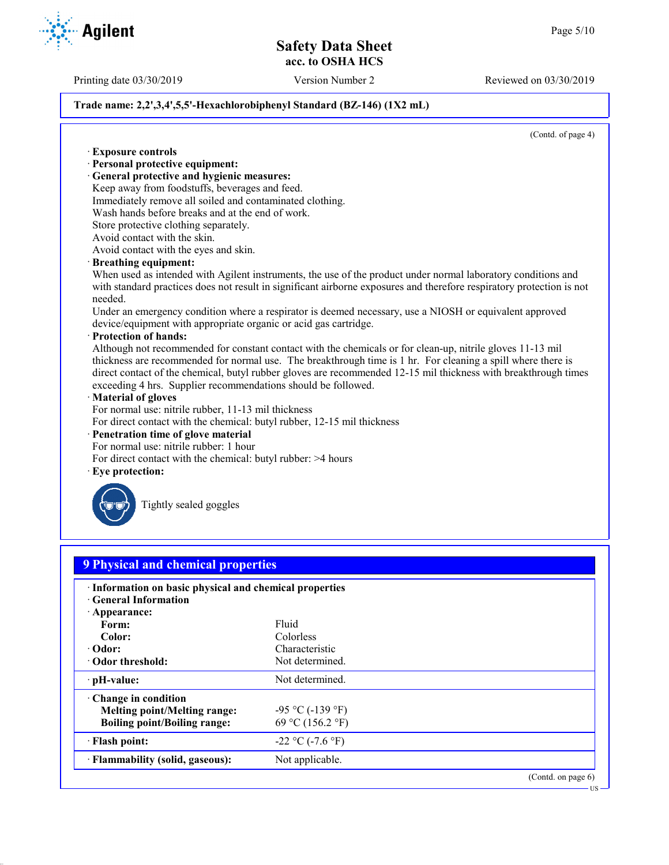Printing date 03/30/2019 Version Number 2 Reviewed on 03/30/2019

#### **Trade name: 2,2',3,4',5,5'-Hexachlorobiphenyl Standard (BZ-146) (1X2 mL)**

(Contd. of page 4)

· **Exposure controls** · **Personal protective equipment:** · **General protective and hygienic measures:** Keep away from foodstuffs, beverages and feed. Immediately remove all soiled and contaminated clothing. Wash hands before breaks and at the end of work. Store protective clothing separately. Avoid contact with the skin. Avoid contact with the eyes and skin. · **Breathing equipment:** When used as intended with Agilent instruments, the use of the product under normal laboratory conditions and with standard practices does not result in significant airborne exposures and therefore respiratory protection is not needed. Under an emergency condition where a respirator is deemed necessary, use a NIOSH or equivalent approved device/equipment with appropriate organic or acid gas cartridge. · **Protection of hands:** Although not recommended for constant contact with the chemicals or for clean-up, nitrile gloves 11-13 mil thickness are recommended for normal use. The breakthrough time is 1 hr. For cleaning a spill where there is direct contact of the chemical, butyl rubber gloves are recommended 12-15 mil thickness with breakthrough times exceeding 4 hrs. Supplier recommendations should be followed. · **Material of gloves** For normal use: nitrile rubber, 11-13 mil thickness For direct contact with the chemical: butyl rubber, 12-15 mil thickness · **Penetration time of glove material** For normal use: nitrile rubber: 1 hour For direct contact with the chemical: butyl rubber: >4 hours Eye protection: Tightly sealed goggles **9 Physical and chemical properties** · **Information on basic physical and chemical properties** · **General Information** · **Appearance:** Form: Fluid **Color:** Colorless **· Odor:** Characteristic Characteristic Characteristic Characteristic Characteristic Characteristic Characteristic Characteristic Characteristic Characteristic Characteristic Characteristic Characteristic Characteristic Ch **· Odor threshold: PH-value:** Not determined. · **Change in condition Melting point/Melting range:**  $-95 \degree C (-139 \degree F)$ **Boiling point/Boiling range:** 69 °C (156.2 °F)  $\cdot$  **Flash point:**  $-22 \degree C (-7.6 \degree F)$ **Flammability (solid, gaseous):** Not applicable. (Contd. on page 6) US

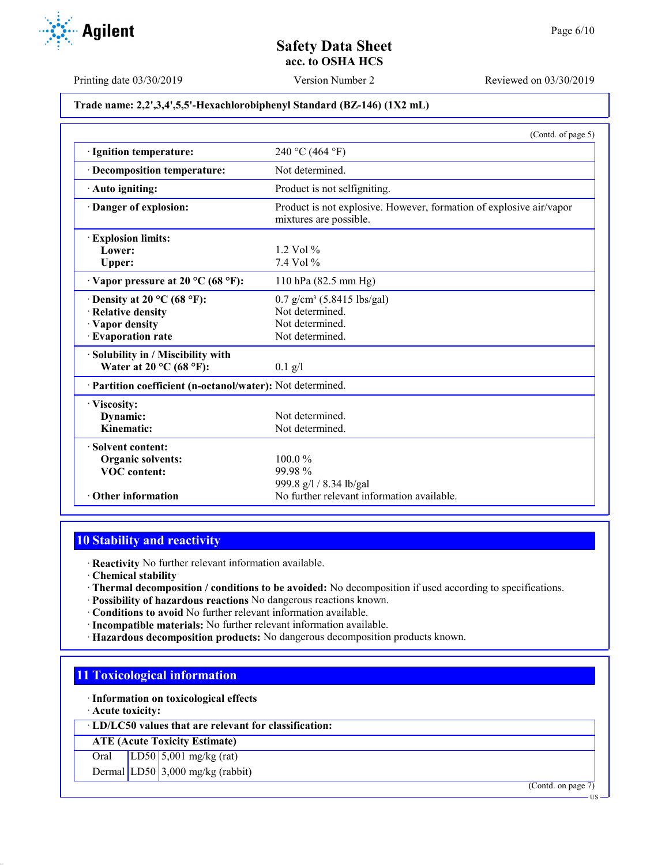Printing date 03/30/2019 Version Number 2 Reviewed on 03/30/2019

#### **Trade name: 2,2',3,4',5,5'-Hexachlorobiphenyl Standard (BZ-146) (1X2 mL)**

|                                                            | (Contd. of page 5)                                                                            |
|------------------------------------------------------------|-----------------------------------------------------------------------------------------------|
| · Ignition temperature:                                    | 240 °C (464 °F)                                                                               |
| Decomposition temperature:                                 | Not determined.                                                                               |
| Auto igniting:                                             | Product is not selfigniting.                                                                  |
| Danger of explosion:                                       | Product is not explosive. However, formation of explosive air/vapor<br>mixtures are possible. |
| <b>Explosion limits:</b>                                   |                                                                                               |
| Lower:                                                     | $1.2$ Vol $%$                                                                                 |
| Upper:                                                     | 7.4 Vol %                                                                                     |
| $\cdot$ Vapor pressure at 20 °C (68 °F):                   | 110 hPa (82.5 mm Hg)                                                                          |
| Density at 20 $^{\circ}$ C (68 $^{\circ}$ F):              | $0.7$ g/cm <sup>3</sup> (5.8415 lbs/gal)                                                      |
| · Relative density                                         | Not determined                                                                                |
| · Vapor density                                            | Not determined                                                                                |
| · Evaporation rate                                         | Not determined.                                                                               |
| Solubility in / Miscibility with                           |                                                                                               |
| Water at $20^{\circ}$ C (68 °F):                           | $0.1$ g/l                                                                                     |
| · Partition coefficient (n-octanol/water): Not determined. |                                                                                               |
| · Viscosity:                                               |                                                                                               |
| Dynamic:                                                   | Not determined.                                                                               |
| Kinematic:                                                 | Not determined.                                                                               |
| · Solvent content:                                         |                                                                                               |
| Organic solvents:                                          | 100.0%                                                                                        |
| <b>VOC</b> content:                                        | 99.98%                                                                                        |
|                                                            | 999.8 g/l / 8.34 lb/gal                                                                       |
| • Other information                                        | No further relevant information available.                                                    |

# **10 Stability and reactivity**

· **Reactivity** No further relevant information available.

· **Chemical stability**

- · **Thermal decomposition / conditions to be avoided:** No decomposition if used according to specifications.
- · **Possibility of hazardous reactions** No dangerous reactions known.
- · **Conditions to avoid** No further relevant information available.
- · **Incompatible materials:** No further relevant information available.
- · **Hazardous decomposition products:** No dangerous decomposition products known.

# **11 Toxicological information**

· **Information on toxicological effects**

· **Acute toxicity:**

· **LD/LC50 values that are relevant for classification:**

**ATE (Acute Toxicity Estimate)**

Oral LD50 5,001 mg/kg (rat)

Dermal LD50 3,000 mg/kg (rabbit)

(Contd. on page 7)

US

**Agilent**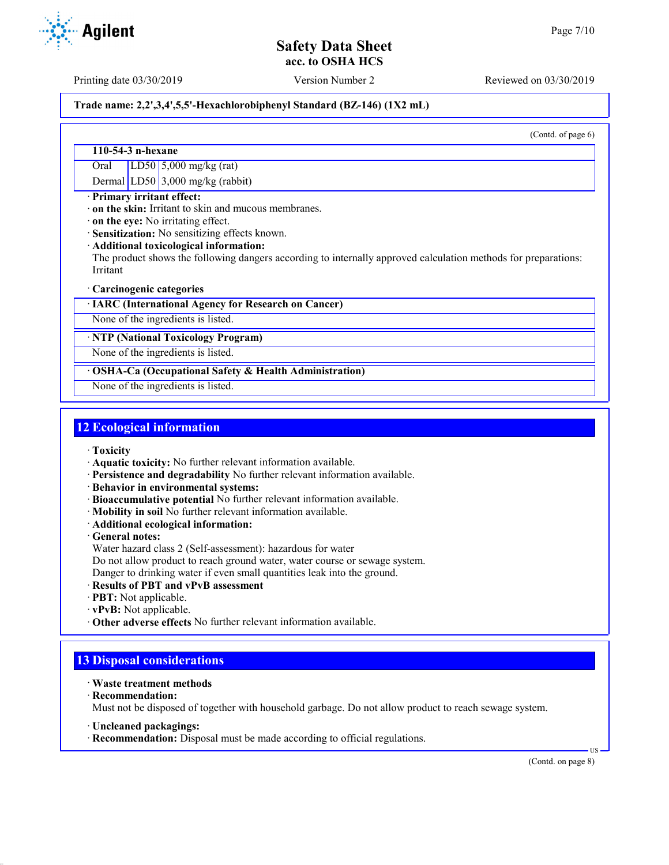Printing date 03/30/2019 Version Number 2 Reviewed on 03/30/2019

# **Trade name: 2,2',3,4',5,5'-Hexachlorobiphenyl Standard (BZ-146) (1X2 mL)**

(Contd. of page 6)

#### **110-54-3 n-hexane**

Oral LD50 5,000 mg/kg (rat)

Dermal LD50 3,000 mg/kg (rabbit)

#### · **Primary irritant effect:**

· **on the skin:** Irritant to skin and mucous membranes.

· **on the eye:** No irritating effect.

· **Sensitization:** No sensitizing effects known.

· **Additional toxicological information:**

The product shows the following dangers according to internally approved calculation methods for preparations: Irritant

#### · **Carcinogenic categories**

· **IARC (International Agency for Research on Cancer)**

None of the ingredients is listed.

#### · **NTP (National Toxicology Program)**

None of the ingredients is listed.

#### · **OSHA-Ca (Occupational Safety & Health Administration)**

None of the ingredients is listed.

## **12 Ecological information**

- · **Toxicity**
- · **Aquatic toxicity:** No further relevant information available.
- · **Persistence and degradability** No further relevant information available.
- · **Behavior in environmental systems:**
- · **Bioaccumulative potential** No further relevant information available.
- · **Mobility in soil** No further relevant information available.
- · **Additional ecological information:**
- · **General notes:**
- Water hazard class 2 (Self-assessment): hazardous for water
- Do not allow product to reach ground water, water course or sewage system.

Danger to drinking water if even small quantities leak into the ground.

- · **Results of PBT and vPvB assessment**
- · **PBT:** Not applicable.
- · **vPvB:** Not applicable.
- · **Other adverse effects** No further relevant information available.

# **13 Disposal considerations**

- · **Waste treatment methods**
- · **Recommendation:**

Must not be disposed of together with household garbage. Do not allow product to reach sewage system.

- · **Uncleaned packagings:**
- · **Recommendation:** Disposal must be made according to official regulations.

(Contd. on page 8)

US

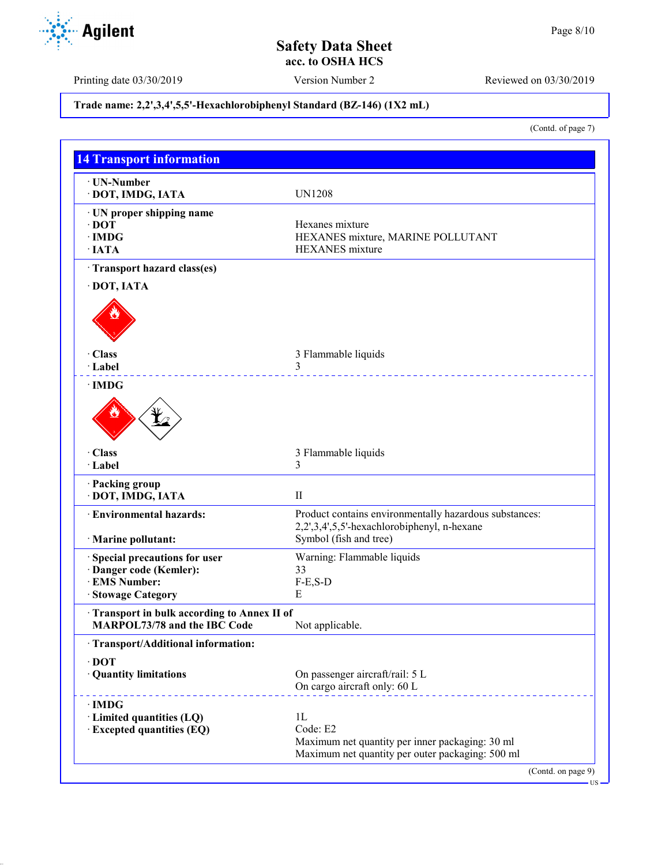Printing date 03/30/2019 Version Number 2 Reviewed on 03/30/2019

## **Trade name: 2,2',3,4',5,5'-Hexachlorobiphenyl Standard (BZ-146) (1X2 mL)**

(Contd. of page 7)

| · UN-Number<br>DOT, IMDG, IATA                                                    | <b>UN1208</b>                                                                                         |
|-----------------------------------------------------------------------------------|-------------------------------------------------------------------------------------------------------|
|                                                                                   |                                                                                                       |
| · UN proper shipping name<br>$\cdot$ DOT                                          | Hexanes mixture                                                                                       |
| $\cdot$ IMDG                                                                      | HEXANES mixture, MARINE POLLUTANT                                                                     |
| $\cdot$ IATA                                                                      | <b>HEXANES</b> mixture                                                                                |
| · Transport hazard class(es)                                                      |                                                                                                       |
| DOT, IATA                                                                         |                                                                                                       |
|                                                                                   |                                                                                                       |
| · Class                                                                           | 3 Flammable liquids                                                                                   |
| · Label                                                                           | 3                                                                                                     |
| $\cdot$ IMDG                                                                      |                                                                                                       |
| · Class                                                                           | 3 Flammable liquids                                                                                   |
| · Label                                                                           | 3                                                                                                     |
| · Packing group<br>DOT, IMDG, IATA                                                | $\mathbf{I}$                                                                                          |
| <b>Environmental hazards:</b>                                                     | Product contains environmentally hazardous substances:<br>2,2',3,4',5,5'-hexachlorobiphenyl, n-hexane |
| · Marine pollutant:                                                               | Symbol (fish and tree)                                                                                |
| · Special precautions for user                                                    | Warning: Flammable liquids                                                                            |
| Danger code (Kemler):                                                             | 33                                                                                                    |
| · EMS Number:                                                                     | $F-E, S-D$                                                                                            |
| · Stowage Category                                                                | Е                                                                                                     |
| Transport in bulk according to Annex II of<br><b>MARPOL73/78 and the IBC Code</b> | Not applicable.                                                                                       |
| · Transport/Additional information:                                               |                                                                                                       |
| $\cdot$ DOT                                                                       |                                                                                                       |
| · Quantity limitations                                                            | On passenger aircraft/rail: 5 L<br>On cargo aircraft only: 60 L                                       |
| · IMDG                                                                            |                                                                                                       |
| · Limited quantities (LQ)                                                         | 1L                                                                                                    |
| <b>Excepted quantities (EQ)</b>                                                   | Code: E2                                                                                              |
|                                                                                   | Maximum net quantity per inner packaging: 30 ml<br>Maximum net quantity per outer packaging: 500 ml   |

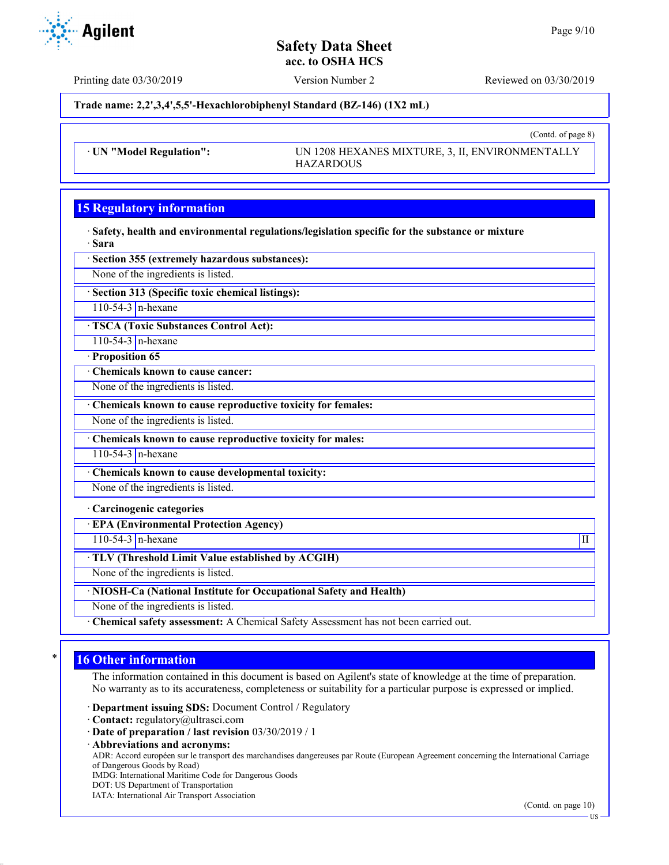(Contd. of page 8)

## **Safety Data Sheet acc. to OSHA HCS**

**Agilent** 

Printing date 03/30/2019 Version Number 2 Reviewed on 03/30/2019

**Trade name: 2,2',3,4',5,5'-Hexachlorobiphenyl Standard (BZ-146) (1X2 mL)**

· **UN "Model Regulation":** UN 1208 HEXANES MIXTURE, 3, II, ENVIRONMENTALLY HAZARDOUS

# **15 Regulatory information**

· **Safety, health and environmental regulations/legislation specific for the substance or mixture** · **Sara**

· **Section 355 (extremely hazardous substances):**

None of the ingredients is listed.

· **Section 313 (Specific toxic chemical listings):**

110-54-3  $n$ -hexane

· **TSCA (Toxic Substances Control Act):**

110-54-3 n-hexane

· **Proposition 65**

· **Chemicals known to cause cancer:**

None of the ingredients is listed.

· **Chemicals known to cause reproductive toxicity for females:**

None of the ingredients is listed.

· **Chemicals known to cause reproductive toxicity for males:**

110-54-3 n-hexane

· **Chemicals known to cause developmental toxicity:**

None of the ingredients is listed.

· **Carcinogenic categories**

· **EPA (Environmental Protection Agency)**

 $110-54-3$  n-hexane III

· **TLV (Threshold Limit Value established by ACGIH)**

None of the ingredients is listed.

· **NIOSH-Ca (National Institute for Occupational Safety and Health)**

None of the ingredients is listed.

· **Chemical safety assessment:** A Chemical Safety Assessment has not been carried out.

# **16 Other information**

The information contained in this document is based on Agilent's state of knowledge at the time of preparation. No warranty as to its accurateness, completeness or suitability for a particular purpose is expressed or implied.

· **Department issuing SDS:** Document Control / Regulatory

- · **Contact:** regulatory@ultrasci.com
- · **Date of preparation / last revision** 03/30/2019 / 1
- · **Abbreviations and acronyms:**

ADR: Accord européen sur le transport des marchandises dangereuses par Route (European Agreement concerning the International Carriage of Dangerous Goods by Road)

IMDG: International Maritime Code for Dangerous Goods

- DOT: US Department of Transportation
- IATA: International Air Transport Association

(Contd. on page 10)